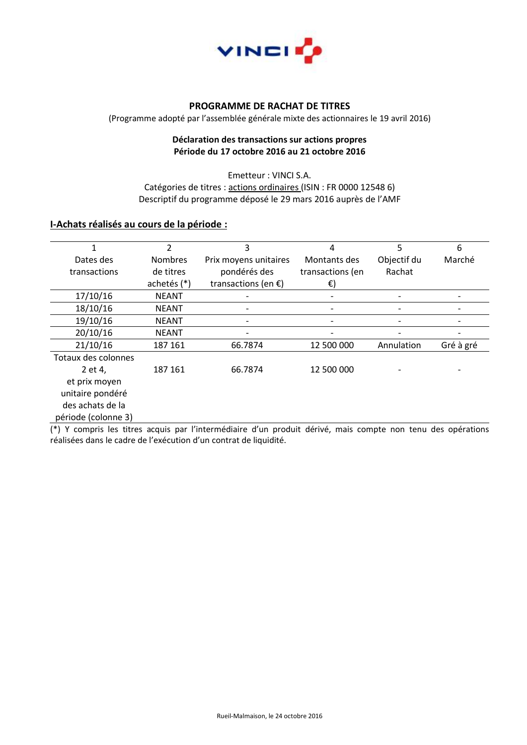

# **PROGRAMME DE RACHAT DE TITRES**

(Programme adopté par l'assemblée générale mixte des actionnaires le 19 avril 2016)

#### **Déclaration des transactions sur actions propres Période du 17 octobre 2016 au 21 octobre 2016**

Emetteur : VINCI S.A. Catégories de titres : actions ordinaires (ISIN : FR 0000 12548 6) Descriptif du programme déposé le 29 mars 2016 auprès de l'AMF

#### **I-Achats réalisés au cours de la période :**

|                     | $\mathfrak{p}$ | 3                             | 4                | 5           | 6         |
|---------------------|----------------|-------------------------------|------------------|-------------|-----------|
| Dates des           | <b>Nombres</b> | Prix moyens unitaires         | Montants des     | Objectif du | Marché    |
| transactions        | de titres      | pondérés des                  | transactions (en | Rachat      |           |
|                     | achetés (*)    | transactions (en $\epsilon$ ) | €)               |             |           |
| 17/10/16            | <b>NEANT</b>   |                               |                  |             |           |
| 18/10/16            | <b>NEANT</b>   | -                             |                  |             |           |
| 19/10/16            | <b>NEANT</b>   |                               |                  |             |           |
| 20/10/16            | <b>NEANT</b>   |                               |                  |             |           |
| 21/10/16            | 187 161        | 66.7874                       | 12 500 000       | Annulation  | Gré à gré |
| Totaux des colonnes |                |                               |                  |             |           |
| 2 et 4,             | 187 161        | 66.7874                       | 12 500 000       |             |           |
| et prix moyen       |                |                               |                  |             |           |
| unitaire pondéré    |                |                               |                  |             |           |
| des achats de la    |                |                               |                  |             |           |
| période (colonne 3) |                |                               |                  |             |           |

(\*) Y compris les titres acquis par l'intermédiaire d'un produit dérivé, mais compte non tenu des opérations réalisées dans le cadre de l'exécution d'un contrat de liquidité.